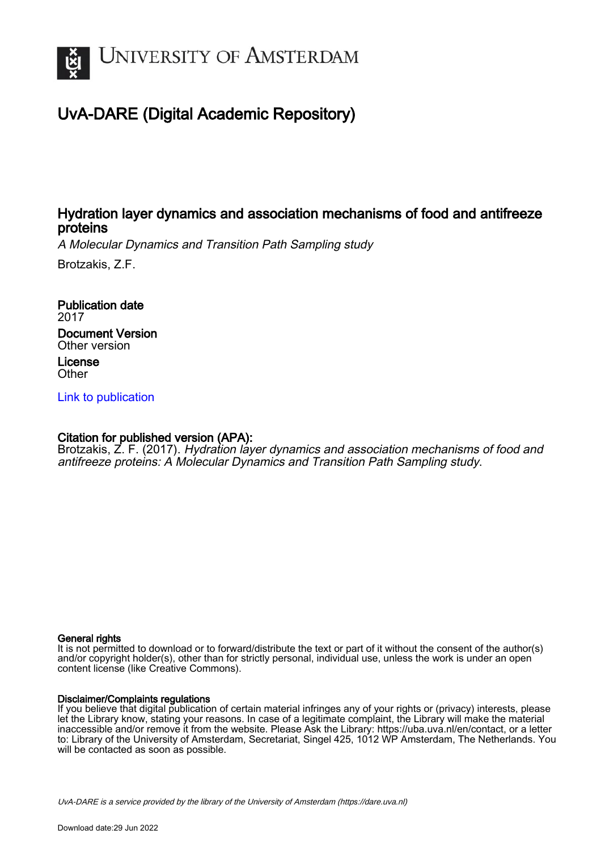

# UvA-DARE (Digital Academic Repository)

### Hydration layer dynamics and association mechanisms of food and antifreeze proteins

A Molecular Dynamics and Transition Path Sampling study

Brotzakis, Z.F.

Publication date 2017 Document Version Other version License

**Other** 

[Link to publication](https://dare.uva.nl/personal/pure/en/publications/hydration-layer-dynamics-and-association-mechanisms-of-food-and-antifreeze-proteins(e4939e56-b80b-435e-bb4c-56d1c6142e1b).html)

### Citation for published version (APA):

Brotzakis, Z. F. (2017). Hydration layer dynamics and association mechanisms of food and antifreeze proteins: A Molecular Dynamics and Transition Path Sampling study.

#### General rights

It is not permitted to download or to forward/distribute the text or part of it without the consent of the author(s) and/or copyright holder(s), other than for strictly personal, individual use, unless the work is under an open content license (like Creative Commons).

#### Disclaimer/Complaints regulations

If you believe that digital publication of certain material infringes any of your rights or (privacy) interests, please let the Library know, stating your reasons. In case of a legitimate complaint, the Library will make the material inaccessible and/or remove it from the website. Please Ask the Library: https://uba.uva.nl/en/contact, or a letter to: Library of the University of Amsterdam, Secretariat, Singel 425, 1012 WP Amsterdam, The Netherlands. You will be contacted as soon as possible.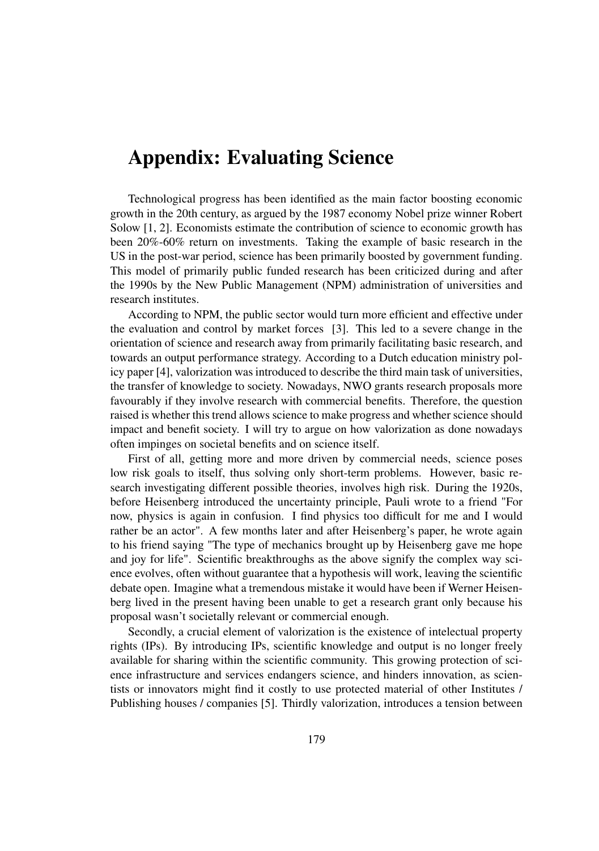### Appendix: Evaluating Science

Technological progress has been identified as the main factor boosting economic growth in the 20th century, as argued by the 1987 economy Nobel prize winner Robert Solow [1, 2]. Economists estimate the contribution of science to economic growth has been 20%-60% return on investments. Taking the example of basic research in the US in the post-war period, science has been primarily boosted by government funding. This model of primarily public funded research has been criticized during and after the 1990s by the New Public Management (NPM) administration of universities and research institutes.

According to NPM, the public sector would turn more efficient and effective under the evaluation and control by market forces [3]. This led to a severe change in the orientation of science and research away from primarily facilitating basic research, and towards an output performance strategy. According to a Dutch education ministry policy paper [4], valorization was introduced to describe the third main task of universities, the transfer of knowledge to society. Nowadays, NWO grants research proposals more favourably if they involve research with commercial benefits. Therefore, the question raised is whether this trend allows science to make progress and whether science should impact and benefit society. I will try to argue on how valorization as done nowadays often impinges on societal benefits and on science itself.

First of all, getting more and more driven by commercial needs, science poses low risk goals to itself, thus solving only short-term problems. However, basic research investigating different possible theories, involves high risk. During the 1920s, before Heisenberg introduced the uncertainty principle, Pauli wrote to a friend "For now, physics is again in confusion. I find physics too difficult for me and I would rather be an actor". A few months later and after Heisenberg's paper, he wrote again to his friend saying "The type of mechanics brought up by Heisenberg gave me hope and joy for life". Scientific breakthroughs as the above signify the complex way science evolves, often without guarantee that a hypothesis will work, leaving the scientific debate open. Imagine what a tremendous mistake it would have been if Werner Heisenberg lived in the present having been unable to get a research grant only because his proposal wasn't societally relevant or commercial enough.

Secondly, a crucial element of valorization is the existence of intelectual property rights (IPs). By introducing IPs, scientific knowledge and output is no longer freely available for sharing within the scientific community. This growing protection of science infrastructure and services endangers science, and hinders innovation, as scientists or innovators might find it costly to use protected material of other Institutes / Publishing houses / companies [5]. Thirdly valorization, introduces a tension between